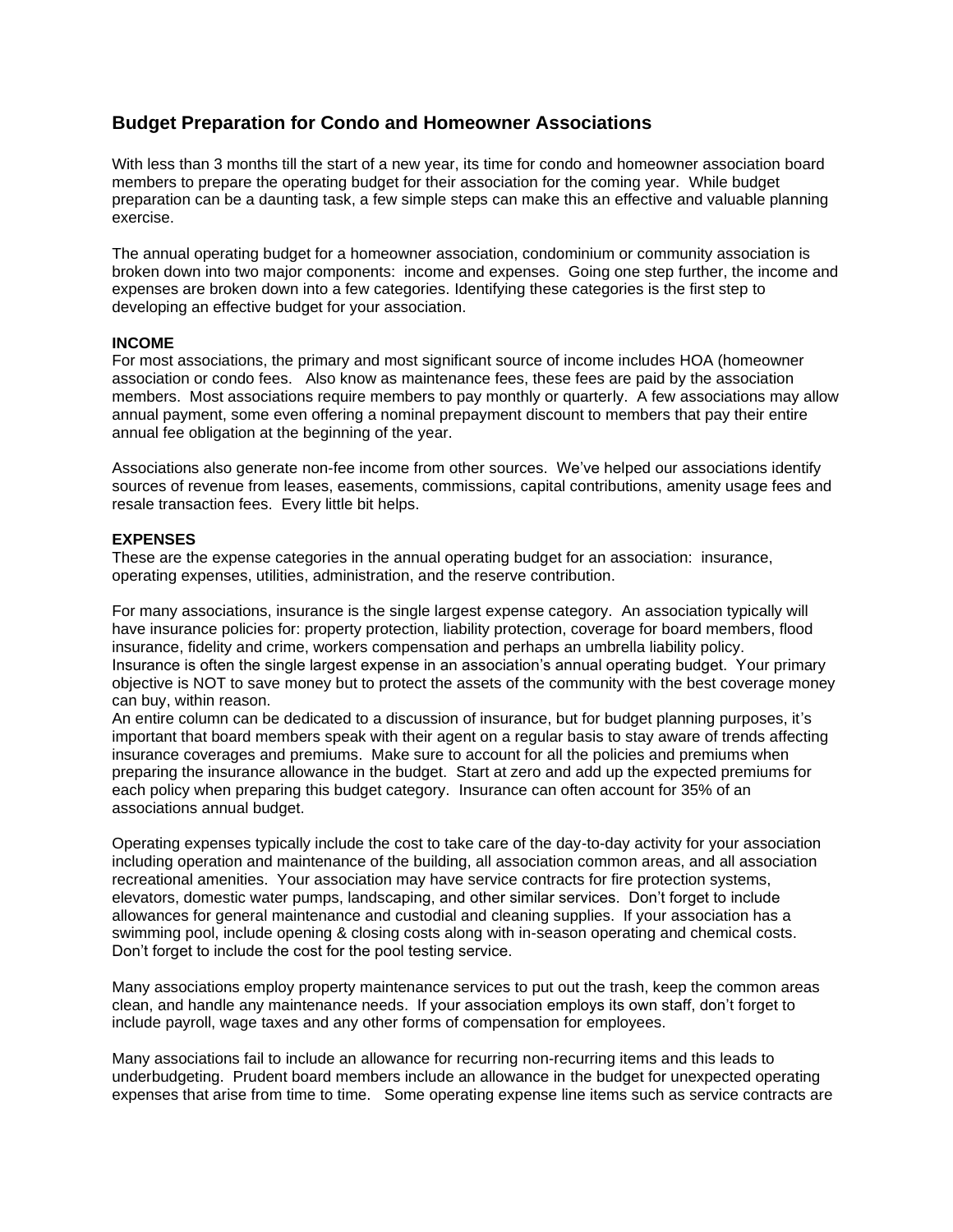## **Budget Preparation for Condo and Homeowner Associations**

With less than 3 months till the start of a new year, its time for condo and homeowner association board members to prepare the operating budget for their association for the coming year. While budget preparation can be a daunting task, a few simple steps can make this an effective and valuable planning exercise.

The annual operating budget for a homeowner association, condominium or community association is broken down into two major components: income and expenses. Going one step further, the income and expenses are broken down into a few categories. Identifying these categories is the first step to developing an effective budget for your association.

## **INCOME**

For most associations, the primary and most significant source of income includes HOA (homeowner association or condo fees. Also know as maintenance fees, these fees are paid by the association members. Most associations require members to pay monthly or quarterly. A few associations may allow annual payment, some even offering a nominal prepayment discount to members that pay their entire annual fee obligation at the beginning of the year.

Associations also generate non-fee income from other sources. We've helped our associations identify sources of revenue from leases, easements, commissions, capital contributions, amenity usage fees and resale transaction fees. Every little bit helps.

## **EXPENSES**

These are the expense categories in the annual operating budget for an association: insurance, operating expenses, utilities, administration, and the reserve contribution.

For many associations, insurance is the single largest expense category. An association typically will have insurance policies for: property protection, liability protection, coverage for board members, flood insurance, fidelity and crime, workers compensation and perhaps an umbrella liability policy. Insurance is often the single largest expense in an association's annual operating budget. Your primary objective is NOT to save money but to protect the assets of the community with the best coverage money can buy, within reason.

An entire column can be dedicated to a discussion of insurance, but for budget planning purposes, it's important that board members speak with their agent on a regular basis to stay aware of trends affecting insurance coverages and premiums. Make sure to account for all the policies and premiums when preparing the insurance allowance in the budget. Start at zero and add up the expected premiums for each policy when preparing this budget category. Insurance can often account for 35% of an associations annual budget.

Operating expenses typically include the cost to take care of the day-to-day activity for your association including operation and maintenance of the building, all association common areas, and all association recreational amenities. Your association may have service contracts for fire protection systems, elevators, domestic water pumps, landscaping, and other similar services. Don't forget to include allowances for general maintenance and custodial and cleaning supplies. If your association has a swimming pool, include opening & closing costs along with in-season operating and chemical costs. Don't forget to include the cost for the pool testing service.

Many associations employ property maintenance services to put out the trash, keep the common areas clean, and handle any maintenance needs. If your association employs its own staff, don't forget to include payroll, wage taxes and any other forms of compensation for employees.

Many associations fail to include an allowance for recurring non-recurring items and this leads to underbudgeting. Prudent board members include an allowance in the budget for unexpected operating expenses that arise from time to time. Some operating expense line items such as service contracts are